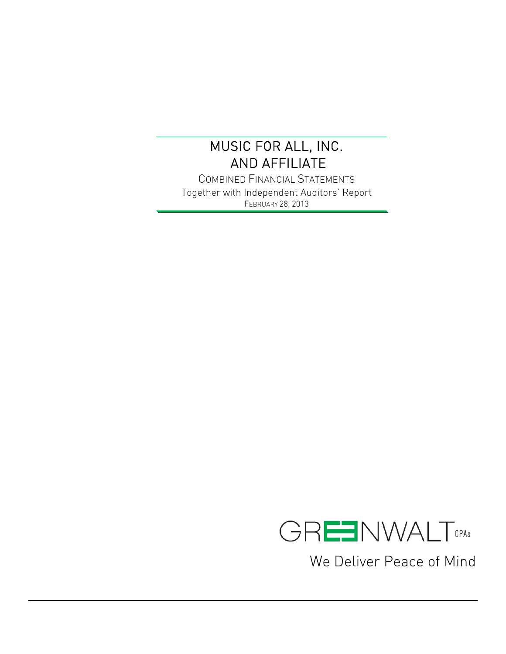$\overline{a}$ 

COMBINED FINANCIAL STATEMENTS Together with Independent Auditors' Report FEBRUARY 28, 2013



We Deliver Peace of Mind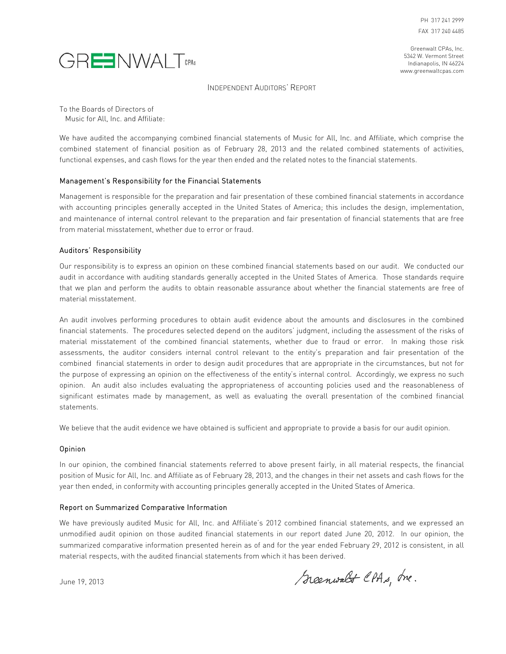

Greenwalt CPAs, Inc. 5342 W. Vermont Street Indianapolis, IN 46224 www.greenwaltcpas.com

INDEPENDENT AUDITORS' REPORT

To the Boards of Directors of Music for All, Inc. and Affiliate:

We have audited the accompanying combined financial statements of Music for All, Inc. and Affiliate, which comprise the combined statement of financial position as of February 28, 2013 and the related combined statements of activities, functional expenses, and cash flows for the year then ended and the related notes to the financial statements.

#### Management's Responsibility for the Financial Statements

Management is responsible for the preparation and fair presentation of these combined financial statements in accordance with accounting principles generally accepted in the United States of America; this includes the design, implementation, and maintenance of internal control relevant to the preparation and fair presentation of financial statements that are free from material misstatement, whether due to error or fraud.

#### Auditors' Responsibility

Our responsibility is to express an opinion on these combined financial statements based on our audit. We conducted our audit in accordance with auditing standards generally accepted in the United States of America. Those standards require that we plan and perform the audits to obtain reasonable assurance about whether the financial statements are free of material misstatement.

An audit involves performing procedures to obtain audit evidence about the amounts and disclosures in the combined financial statements. The procedures selected depend on the auditors' judgment, including the assessment of the risks of material misstatement of the combined financial statements, whether due to fraud or error. In making those risk assessments, the auditor considers internal control relevant to the entity's preparation and fair presentation of the combined financial statements in order to design audit procedures that are appropriate in the circumstances, but not for the purpose of expressing an opinion on the effectiveness of the entity's internal control. Accordingly, we express no such opinion. An audit also includes evaluating the appropriateness of accounting policies used and the reasonableness of significant estimates made by management, as well as evaluating the overall presentation of the combined financial statements.

We believe that the audit evidence we have obtained is sufficient and appropriate to provide a basis for our audit opinion.

#### Opinion

In our opinion, the combined financial statements referred to above present fairly, in all material respects, the financial position of Music for All, Inc. and Affiliate as of February 28, 2013, and the changes in their net assets and cash flows for the year then ended, in conformity with accounting principles generally accepted in the United States of America.

#### Report on Summarized Comparative Information

We have previously audited Music for All, Inc. and Affiliate's 2012 combined financial statements, and we expressed an unmodified audit opinion on those audited financial statements in our report dated June 20, 2012. In our opinion, the summarized comparative information presented herein as of and for the year ended February 29, 2012 is consistent, in all material respects, with the audited financial statements from which it has been derived.

June 19, 2013

Scenwalt CPAs, Ine.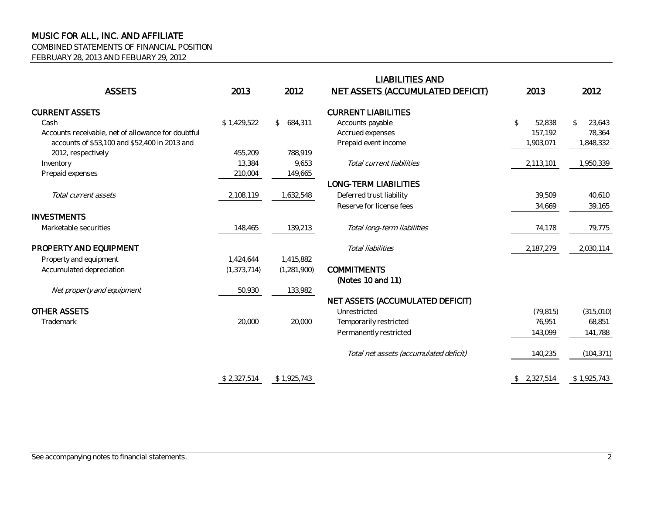COMBINED STATEMENTS OF FINANCIAL POSITION

FEBRUARY 28, 2013 AND FEBUARY 29, 2012

| <b>ASSETS</b>                                      | 2013          | 2012                    | <b>LIABILITIES AND</b><br><b>NET ASSETS (ACCUMULATED DEFICIT)</b> | 2013                     | 2012                   |
|----------------------------------------------------|---------------|-------------------------|-------------------------------------------------------------------|--------------------------|------------------------|
| <b>CURRENT ASSETS</b>                              |               |                         | <b>CURRENT LIABILITIES</b>                                        |                          |                        |
| Cash                                               | \$1,429,522   | 684,311<br>$\mathbb{S}$ | Accounts payable                                                  | $\mathfrak{P}$<br>52,838 | 23,643<br>$\mathbb{S}$ |
| Accounts receivable, net of allowance for doubtful |               |                         | Accrued expenses                                                  | 157,192                  | 78,364                 |
| accounts of \$53,100 and \$52,400 in 2013 and      |               |                         | Prepaid event income                                              | 1,903,071                | 1,848,332              |
| 2012, respectively                                 | 455,209       | 788.919                 |                                                                   |                          |                        |
| Inventory                                          | 13,384        | 9,653                   | Total current liabilities                                         | 2,113,101                | 1,950,339              |
| Prepaid expenses                                   | 210,004       | 149,665                 |                                                                   |                          |                        |
|                                                    |               |                         | <b>LONG-TERM LIABILITIES</b>                                      |                          |                        |
| Total current assets                               | 2,108,119     | 1,632,548               | Deferred trust liability                                          | 39,509                   | 40,610                 |
|                                                    |               |                         | Reserve for license fees                                          | 34,669                   | 39,165                 |
| <b>INVESTMENTS</b>                                 |               |                         |                                                                   |                          |                        |
| Marketable securities                              | 148,465       | 139,213                 | Total long-term liabilities                                       | 74,178                   | 79,775                 |
| PROPERTY AND EQUIPMENT                             |               |                         | Total liabilities                                                 | 2,187,279                | 2,030,114              |
| Property and equipment                             | 1,424,644     | 1,415,882               |                                                                   |                          |                        |
| Accumulated depreciation                           | (1, 373, 714) | (1, 281, 900)           | <b>COMMITMENTS</b>                                                |                          |                        |
|                                                    |               |                         | (Notes 10 and 11)                                                 |                          |                        |
| Net property and equipment                         | 50,930        | 133,982                 |                                                                   |                          |                        |
|                                                    |               |                         | NET ASSETS (ACCUMULATED DEFICIT)                                  |                          |                        |
| <b>OTHER ASSETS</b>                                |               |                         | Unrestricted                                                      | (79, 815)                | (315,010)              |
| Trademark                                          | 20,000        | 20,000                  | Temporarily restricted                                            | 76.951                   | 68,851                 |
|                                                    |               |                         | Permanently restricted                                            | 143,099                  | 141,788                |
|                                                    |               |                         | Total net assets (accumulated deficit)                            | 140,235                  | (104, 371)             |
|                                                    | \$2,327,514   | \$1,925,743             |                                                                   | \$2,327,514              | \$1,925,743            |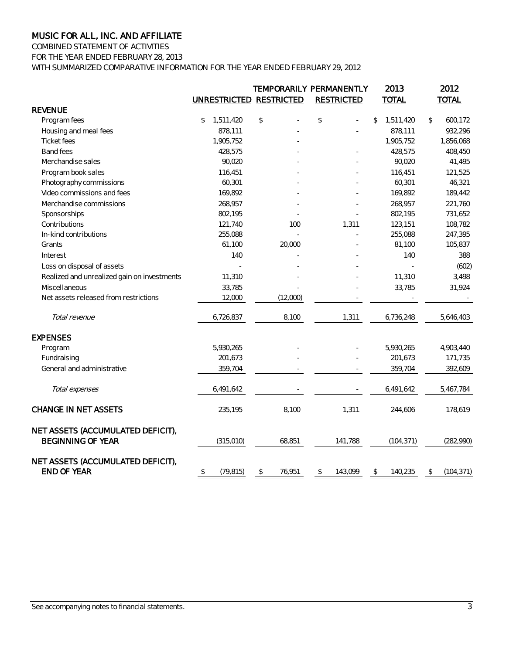#### COMBINED STATEMENT OF ACTIVITIES FOR THE YEAR ENDED FEBRUARY 28, 2013

WITH SUMMARIZED COMPARATIVE INFORMATION FOR THE YEAR ENDED FEBRUARY 29, 2012

|                                                               | UNRESTRICTED RESTRICTED |              | TEMPORARILY PERMANENTLY<br><b>RESTRICTED</b> | 2013<br><b>TOTAL</b>       | 2012<br><b>TOTAL</b> |
|---------------------------------------------------------------|-------------------------|--------------|----------------------------------------------|----------------------------|----------------------|
| <b>REVENUE</b>                                                |                         |              |                                              |                            |                      |
| Program fees                                                  | 1,511,420<br>\$         | \$           | \$                                           | 1,511,420<br>$\mathcal{L}$ | \$<br>600,172        |
| Housing and meal fees                                         | 878,111                 |              |                                              | 878,111                    | 932,296              |
| <b>Ticket fees</b>                                            | 1,905,752               |              |                                              | 1,905,752                  | 1,856,068            |
| <b>Band fees</b>                                              | 428,575                 |              |                                              | 428,575                    | 408,450              |
| Merchandise sales                                             | 90,020                  |              |                                              | 90,020                     | 41,495               |
| Program book sales                                            | 116,451                 |              |                                              | 116,451                    | 121,525              |
| Photography commissions                                       | 60,301                  |              |                                              | 60,301                     | 46,321               |
| Video commissions and fees                                    | 169,892                 |              |                                              | 169,892                    | 189,442              |
| Merchandise commissions                                       | 268,957                 |              |                                              | 268,957                    | 221,760              |
| Sponsorships                                                  | 802,195                 |              |                                              | 802,195                    | 731,652              |
| Contributions                                                 | 121,740                 | 100          | 1,311                                        | 123,151                    | 108,782              |
| In-kind contributions                                         | 255,088                 |              |                                              | 255,088                    | 247,395              |
| Grants                                                        | 61,100                  | 20,000       |                                              | 81,100                     | 105,837              |
| Interest                                                      | 140                     |              |                                              | 140                        | 388                  |
| Loss on disposal of assets                                    |                         |              |                                              |                            | (602)                |
| Realized and unrealized gain on investments                   | 11,310                  |              |                                              | 11,310                     | 3,498                |
| Miscellaneous                                                 | 33,785                  |              |                                              | 33,785                     | 31,924               |
| Net assets released from restrictions                         | 12,000                  | (12,000)     |                                              |                            |                      |
| Total revenue                                                 | 6,726,837               | 8,100        | 1,311                                        | 6,736,248                  | 5,646,403            |
| <b>EXPENSES</b>                                               |                         |              |                                              |                            |                      |
| Program                                                       | 5,930,265               |              |                                              | 5,930,265                  | 4,903,440            |
| Fundraising                                                   | 201,673                 |              |                                              | 201,673                    | 171,735              |
| General and administrative                                    | 359,704                 |              |                                              | 359,704                    | 392,609              |
| Total expenses                                                | 6,491,642               |              |                                              | 6,491,642                  | 5,467,784            |
| <b>CHANGE IN NET ASSETS</b>                                   | 235,195                 | 8,100        | 1,311                                        | 244,606                    | 178,619              |
| NET ASSETS (ACCUMULATED DEFICIT),<br><b>BEGINNING OF YEAR</b> | (315,010)               | 68,851       | 141,788                                      | (104, 371)                 | (282,990)            |
| NET ASSETS (ACCUMULATED DEFICIT),<br><b>END OF YEAR</b>       | \$<br>(79, 815)         | \$<br>76.951 | \$<br>143,099                                | \$<br>140,235              | (104, 371)<br>\$     |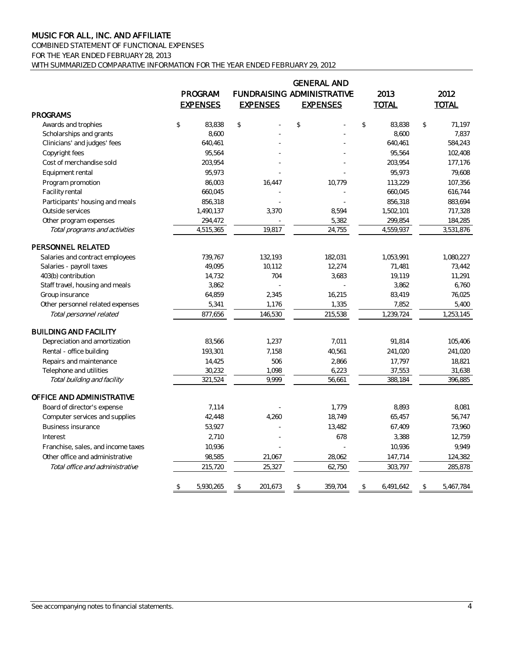COMBINED STATEMENT OF FUNCTIONAL EXPENSES FOR THE YEAR ENDED FEBRUARY 28, 2013 WITH SUMMARIZED COMPARATIVE INFORMATION FOR THE YEAR ENDED FEBRUARY 29, 2012

|                                    | PROGRAM<br><b>EXPENSES</b> | <b>EXPENSES</b> | <b>GENERAL AND</b><br>FUNDRAISING ADMINISTRATIVE<br><b>EXPENSES</b> |                | 2013<br><b>TOTAL</b> |                | 2012<br><b>TOTAL</b> |
|------------------------------------|----------------------------|-----------------|---------------------------------------------------------------------|----------------|----------------------|----------------|----------------------|
| <b>PROGRAMS</b>                    |                            |                 |                                                                     |                |                      |                |                      |
| Awards and trophies                | \$<br>83,838               | \$              | \$                                                                  | $$\mathbb{S}$$ | 83,838               | $$\mathbb{S}$$ | 71,197               |
| Scholarships and grants            | 8,600                      |                 |                                                                     |                | 8,600                |                | 7,837                |
| Clinicians' and judges' fees       | 640,461                    |                 |                                                                     |                | 640,461              |                | 584,243              |
| Copyright fees                     | 95,564                     |                 |                                                                     |                | 95,564               |                | 102,408              |
| Cost of merchandise sold           | 203,954                    |                 |                                                                     |                | 203,954              |                | 177,176              |
| Equipment rental                   | 95,973                     |                 |                                                                     |                | 95,973               |                | 79,608               |
| Program promotion                  | 86,003                     | 16,447          | 10,779                                                              |                | 113,229              |                | 107,356              |
| Facility rental                    | 660,045                    |                 |                                                                     |                | 660,045              |                | 616,744              |
| Participants' housing and meals    | 856,318                    |                 |                                                                     |                | 856,318              |                | 883,694              |
| Outside services                   | 1,490,137                  | 3,370           | 8,594                                                               |                | 1,502,101            |                | 717,328              |
| Other program expenses             | 294,472                    |                 | 5,382                                                               |                | 299,854              |                | 184,285              |
| Total programs and activities      | 4,515,365                  | 19,817          | 24,755                                                              |                | 4,559,937            |                | 3,531,876            |
| PERSONNEL RELATED                  |                            |                 |                                                                     |                |                      |                |                      |
| Salaries and contract employees    | 739,767                    | 132,193         | 182,031                                                             |                | 1,053,991            |                | 1,080,227            |
| Salaries - payroll taxes           | 49,095                     | 10,112          | 12,274                                                              |                | 71,481               |                | 73,442               |
| 403(b) contribution                | 14,732                     | 704             | 3,683                                                               |                | 19,119               |                | 11,291               |
| Staff travel, housing and meals    | 3,862                      |                 |                                                                     |                | 3,862                |                | 6,760                |
| Group insurance                    | 64,859                     | 2,345           | 16,215                                                              |                | 83,419               |                | 76,025               |
| Other personnel related expenses   | 5,341                      | 1,176           | 1,335                                                               |                | 7,852                |                | 5,400                |
| Total personnel related            | 877,656                    | 146,530         | 215,538                                                             |                | 1,239,724            |                | 1,253,145            |
| <b>BUILDING AND FACILITY</b>       |                            |                 |                                                                     |                |                      |                |                      |
| Depreciation and amortization      | 83,566                     | 1,237           | 7,011                                                               |                | 91,814               |                | 105,406              |
| Rental - office building           | 193,301                    | 7,158           | 40,561                                                              |                | 241,020              |                | 241,020              |
| Repairs and maintenance            | 14,425                     | 506             | 2,866                                                               |                | 17,797               |                | 18,821               |
| Telephone and utilities            | 30,232                     | 1,098           | 6,223                                                               |                | 37,553               |                | 31,638               |
| Total building and facility        | 321,524                    | 9.999           | 56,661                                                              |                | 388,184              |                | 396,885              |
| OFFICE AND ADMINISTRATIVE          |                            |                 |                                                                     |                |                      |                |                      |
| Board of director's expense        | 7,114                      |                 | 1,779                                                               |                | 8,893                |                | 8,081                |
| Computer services and supplies     | 42,448                     | 4,260           | 18,749                                                              |                | 65,457               |                | 56,747               |
| <b>Business insurance</b>          | 53,927                     |                 | 13,482                                                              |                | 67,409               |                | 73,960               |
| Interest                           | 2,710                      |                 | 678                                                                 |                | 3,388                |                | 12,759               |
| Franchise, sales, and income taxes | 10,936                     |                 |                                                                     |                | 10,936               |                | 9,949                |
| Other office and administrative    | 98,585                     | 21,067          | 28,062                                                              |                | 147,714              |                | 124,382              |
| Total office and administrative    | 215,720                    | 25,327          | 62,750                                                              |                | 303,797              |                | 285,878              |
|                                    | \$<br>5,930,265            | \$<br>201,673   | \$<br>359,704                                                       | \$             | 6,491,642            | \$             | 5,467,784            |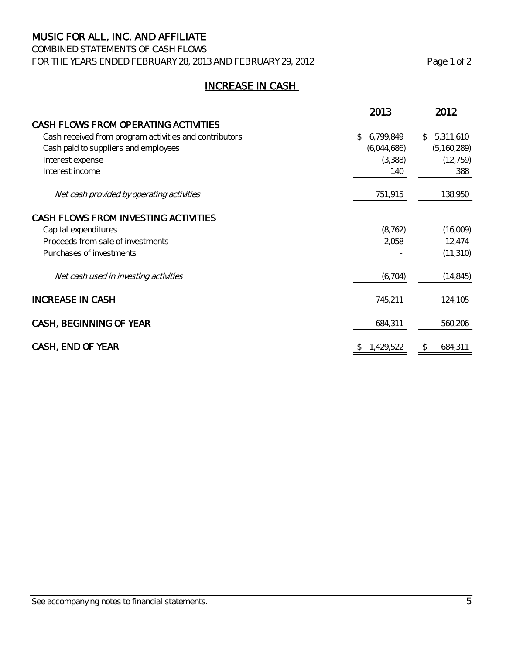### COMBINED STATEMENTS OF CASH FLOWS FOR THE YEARS ENDED FEBRUARY 28, 2013 AND FEBRUARY 29, 2012 Page 1 of 2

# INCREASE IN CASH

|                                                        | 2013            | 2012          |
|--------------------------------------------------------|-----------------|---------------|
| CASH FLOWS FROM OPERATING ACTIVITIES                   |                 |               |
| Cash received from program activities and contributors | 6,799,849<br>\$ | \$5,311,610   |
| Cash paid to suppliers and employees                   | (6,044,686)     | (5, 160, 289) |
| Interest expense                                       | (3,388)         | (12, 759)     |
| Interest income                                        | 140             | 388           |
| Net cash provided by operating activities              | 751,915         | 138,950       |
| CASH FLOWS FROM INVESTING ACTIVITIES                   |                 |               |
| Capital expenditures                                   | (8, 762)        | (16,009)      |
| Proceeds from sale of investments                      | 2,058           | 12,474        |
| Purchases of investments                               |                 | (11, 310)     |
| Net cash used in investing activities                  | (6, 704)        | (14, 845)     |
| <b>INCREASE IN CASH</b>                                | 745,211         | 124,105       |
| CASH, BEGINNING OF YEAR                                | 684,311         | 560,206       |
| CASH, END OF YEAR                                      | 1,429,522<br>\$ | 684,311<br>\$ |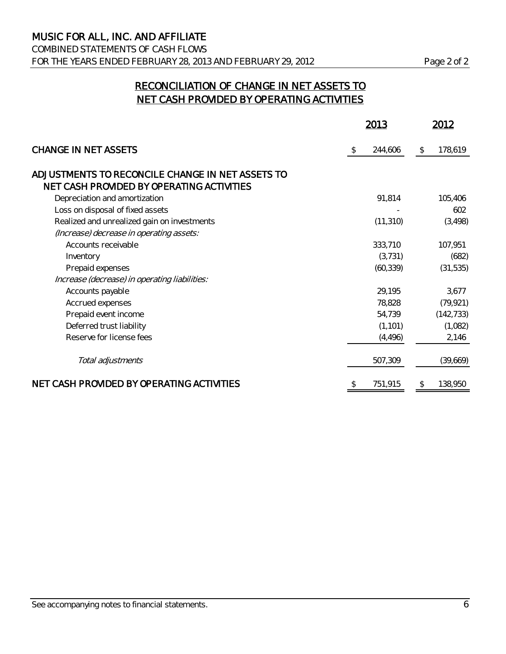# RECONCILIATION OF CHANGE IN NET ASSETS TO NET CASH PROVIDED BY OPERATING ACTIVITIES

|                                                                                               |    | 2013      |    | 2012       |  |
|-----------------------------------------------------------------------------------------------|----|-----------|----|------------|--|
| <b>CHANGE IN NET ASSETS</b>                                                                   | \$ | 244,606   | \$ | 178,619    |  |
| ADJUSTMENTS TO RECONCILE CHANGE IN NET ASSETS TO<br>NET CASH PROVIDED BY OPERATING ACTIVITIES |    |           |    |            |  |
| Depreciation and amortization                                                                 |    | 91,814    |    | 105,406    |  |
| Loss on disposal of fixed assets                                                              |    |           |    | 602        |  |
| Realized and unrealized gain on investments                                                   |    | (11, 310) |    | (3, 498)   |  |
| (Increase) decrease in operating assets:                                                      |    |           |    |            |  |
| Accounts receivable                                                                           |    | 333,710   |    | 107,951    |  |
| Inventory                                                                                     |    | (3, 731)  |    | (682)      |  |
| Prepaid expenses                                                                              |    | (60, 339) |    | (31, 535)  |  |
| Increase (decrease) in operating liabilities:                                                 |    |           |    |            |  |
| Accounts payable                                                                              |    | 29,195    |    | 3,677      |  |
| Accrued expenses                                                                              |    | 78,828    |    | (79, 921)  |  |
| Prepaid event income                                                                          |    | 54,739    |    | (142, 733) |  |
| Deferred trust liability                                                                      |    | (1, 101)  |    | (1,082)    |  |
| Reserve for license fees                                                                      |    | (4, 496)  |    | 2,146      |  |
| Total adjustments                                                                             |    | 507,309   |    | (39,669)   |  |
| NET CASH PROVIDED BY OPERATING ACTIVITIES                                                     | S  | 751,915   | \$ | 138,950    |  |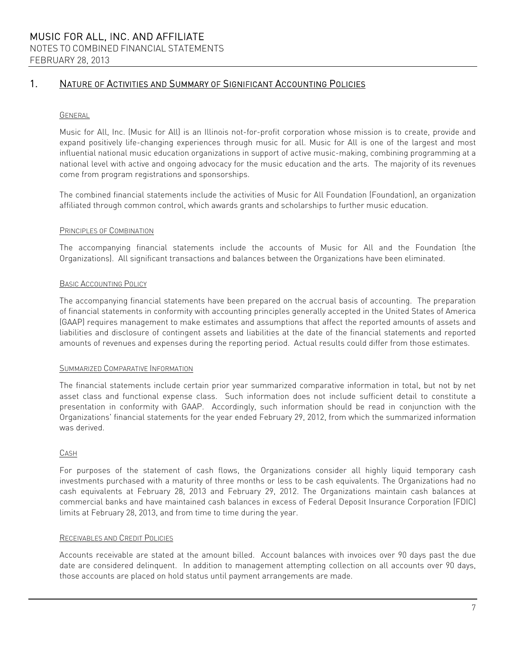#### GENERAL

Music for All, Inc. (Music for All) is an Illinois not-for-profit corporation whose mission is to create, provide and expand positively life-changing experiences through music for all. Music for All is one of the largest and most influential national music education organizations in support of active music-making, combining programming at a national level with active and ongoing advocacy for the music education and the arts. The majority of its revenues come from program registrations and sponsorships.

The combined financial statements include the activities of Music for All Foundation (Foundation), an organization affiliated through common control, which awards grants and scholarships to further music education.

#### PRINCIPLES OF COMBINATION

The accompanying financial statements include the accounts of Music for All and the Foundation (the Organizations). All significant transactions and balances between the Organizations have been eliminated.

#### BASIC ACCOUNTING POLICY

The accompanying financial statements have been prepared on the accrual basis of accounting. The preparation of financial statements in conformity with accounting principles generally accepted in the United States of America (GAAP) requires management to make estimates and assumptions that affect the reported amounts of assets and liabilities and disclosure of contingent assets and liabilities at the date of the financial statements and reported amounts of revenues and expenses during the reporting period. Actual results could differ from those estimates.

#### SUMMARIZED COMPARATIVE INFORMATION

The financial statements include certain prior year summarized comparative information in total, but not by net asset class and functional expense class. Such information does not include sufficient detail to constitute a presentation in conformity with GAAP. Accordingly, such information should be read in conjunction with the Organizations' financial statements for the year ended February 29, 2012, from which the summarized information was derived.

#### CASH

For purposes of the statement of cash flows, the Organizations consider all highly liquid temporary cash investments purchased with a maturity of three months or less to be cash equivalents. The Organizations had no cash equivalents at February 28, 2013 and February 29, 2012. The Organizations maintain cash balances at commercial banks and have maintained cash balances in excess of Federal Deposit Insurance Corporation (FDIC) limits at February 28, 2013, and from time to time during the year.

#### RECEIVABLES AND CREDIT POLICIES

Accounts receivable are stated at the amount billed. Account balances with invoices over 90 days past the due date are considered delinquent. In addition to management attempting collection on all accounts over 90 days, those accounts are placed on hold status until payment arrangements are made.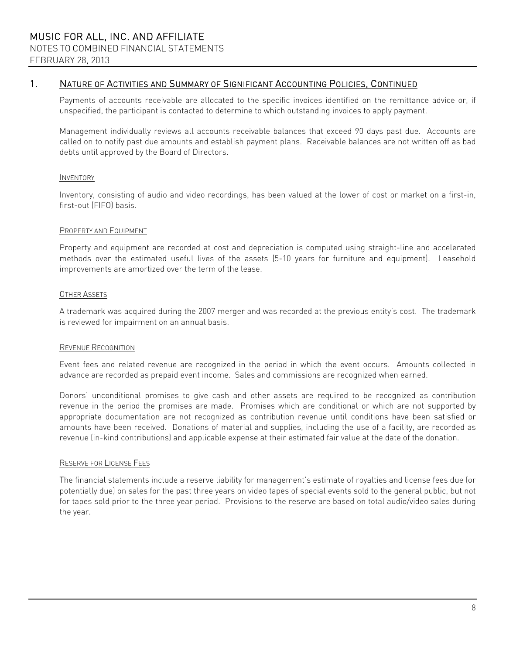Payments of accounts receivable are allocated to the specific invoices identified on the remittance advice or, if unspecified, the participant is contacted to determine to which outstanding invoices to apply payment.

Management individually reviews all accounts receivable balances that exceed 90 days past due. Accounts are called on to notify past due amounts and establish payment plans. Receivable balances are not written off as bad debts until approved by the Board of Directors.

#### **INVENTORY**

Inventory, consisting of audio and video recordings, has been valued at the lower of cost or market on a first-in, first-out (FIFO) basis.

#### PROPERTY AND EQUIPMENT

Property and equipment are recorded at cost and depreciation is computed using straight-line and accelerated methods over the estimated useful lives of the assets (5-10 years for furniture and equipment). Leasehold improvements are amortized over the term of the lease.

#### OTHER ASSETS

A trademark was acquired during the 2007 merger and was recorded at the previous entity's cost. The trademark is reviewed for impairment on an annual basis.

#### REVENUE RECOGNITION

Event fees and related revenue are recognized in the period in which the event occurs. Amounts collected in advance are recorded as prepaid event income. Sales and commissions are recognized when earned.

Donors' unconditional promises to give cash and other assets are required to be recognized as contribution revenue in the period the promises are made. Promises which are conditional or which are not supported by appropriate documentation are not recognized as contribution revenue until conditions have been satisfied or amounts have been received. Donations of material and supplies, including the use of a facility, are recorded as revenue (in-kind contributions) and applicable expense at their estimated fair value at the date of the donation.

#### RESERVE FOR LICENSE FEES

The financial statements include a reserve liability for management's estimate of royalties and license fees due (or potentially due) on sales for the past three years on video tapes of special events sold to the general public, but not for tapes sold prior to the three year period. Provisions to the reserve are based on total audio/video sales during the year.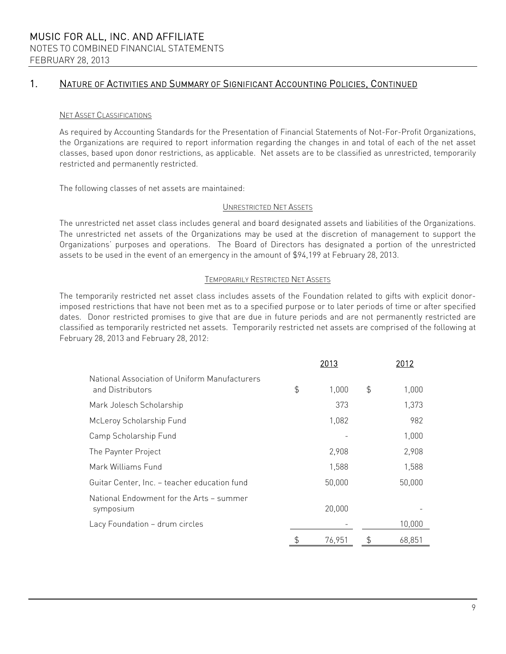#### NET ASSET CLASSIFICATIONS

As required by Accounting Standards for the Presentation of Financial Statements of Not-For-Profit Organizations, the Organizations are required to report information regarding the changes in and total of each of the net asset classes, based upon donor restrictions, as applicable. Net assets are to be classified as unrestricted, temporarily restricted and permanently restricted.

The following classes of net assets are maintained:

#### UNRESTRICTED NET ASSETS

The unrestricted net asset class includes general and board designated assets and liabilities of the Organizations. The unrestricted net assets of the Organizations may be used at the discretion of management to support the Organizations' purposes and operations. The Board of Directors has designated a portion of the unrestricted assets to be used in the event of an emergency in the amount of \$94,199 at February 28, 2013.

#### TEMPORARILY RESTRICTED NET ASSETS

The temporarily restricted net asset class includes assets of the Foundation related to gifts with explicit donorimposed restrictions that have not been met as to a specified purpose or to later periods of time or after specified dates. Donor restricted promises to give that are due in future periods and are not permanently restricted are classified as temporarily restricted net assets. Temporarily restricted net assets are comprised of the following at February 28, 2013 and February 28, 2012:

|                                                                   |               | 2013   | 2012         |
|-------------------------------------------------------------------|---------------|--------|--------------|
| National Association of Uniform Manufacturers<br>and Distributors | $\frac{4}{5}$ | 1.000  | \$<br>1,000  |
| Mark Jolesch Scholarship                                          |               | 373    | 1,373        |
| McLeroy Scholarship Fund                                          |               | 1,082  | 982          |
| Camp Scholarship Fund                                             |               |        | 1,000        |
| The Paynter Project                                               |               | 2,908  | 2,908        |
| Mark Williams Fund                                                |               | 1,588  | 1,588        |
| Guitar Center, Inc. - teacher education fund                      |               | 50,000 | 50,000       |
| National Endowment for the Arts - summer<br>symposium             |               | 20,000 |              |
| Lacy Foundation - drum circles                                    |               |        | 10,000       |
|                                                                   | \$            | 76.951 | \$<br>68,851 |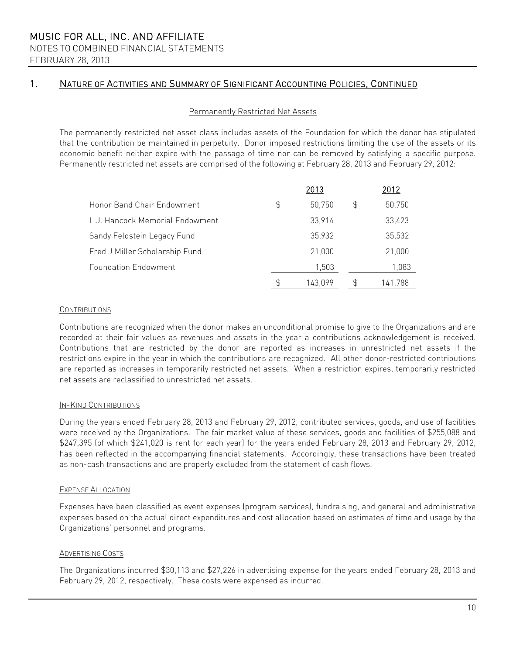#### Permanently Restricted Net Assets

The permanently restricted net asset class includes assets of the Foundation for which the donor has stipulated that the contribution be maintained in perpetuity. Donor imposed restrictions limiting the use of the assets or its economic benefit neither expire with the passage of time nor can be removed by satisfying a specific purpose. Permanently restricted net assets are comprised of the following at February 28, 2013 and February 29, 2012:

|                                 | 2013         |    | 2012    |
|---------------------------------|--------------|----|---------|
| Honor Band Chair Endowment      | \$<br>50,750 | \$ | 50,750  |
| L.J. Hancock Memorial Endowment | 33,914       |    | 33,423  |
| Sandy Feldstein Legacy Fund     | 35,932       |    | 35,532  |
| Fred J Miller Scholarship Fund  | 21,000       |    | 21,000  |
| <b>Foundation Endowment</b>     | 1.503        |    | 1,083   |
|                                 | 143.099      | £  | 141.788 |

#### **CONTRIBUTIONS**

Contributions are recognized when the donor makes an unconditional promise to give to the Organizations and are recorded at their fair values as revenues and assets in the year a contributions acknowledgement is received. Contributions that are restricted by the donor are reported as increases in unrestricted net assets if the restrictions expire in the year in which the contributions are recognized. All other donor-restricted contributions are reported as increases in temporarily restricted net assets. When a restriction expires, temporarily restricted net assets are reclassified to unrestricted net assets.

#### IN-KIND CONTRIBUTIONS

During the years ended February 28, 2013 and February 29, 2012, contributed services, goods, and use of facilities were received by the Organizations. The fair market value of these services, goods and facilities of \$255,088 and \$247,395 (of which \$241,020 is rent for each year) for the years ended February 28, 2013 and February 29, 2012, has been reflected in the accompanying financial statements. Accordingly, these transactions have been treated as non-cash transactions and are properly excluded from the statement of cash flows.

#### EXPENSE ALLOCATION

Expenses have been classified as event expenses (program services), fundraising, and general and administrative expenses based on the actual direct expenditures and cost allocation based on estimates of time and usage by the Organizations' personnel and programs.

#### ADVERTISING COSTS

The Organizations incurred \$30,113 and \$27,226 in advertising expense for the years ended February 28, 2013 and February 29, 2012, respectively. These costs were expensed as incurred.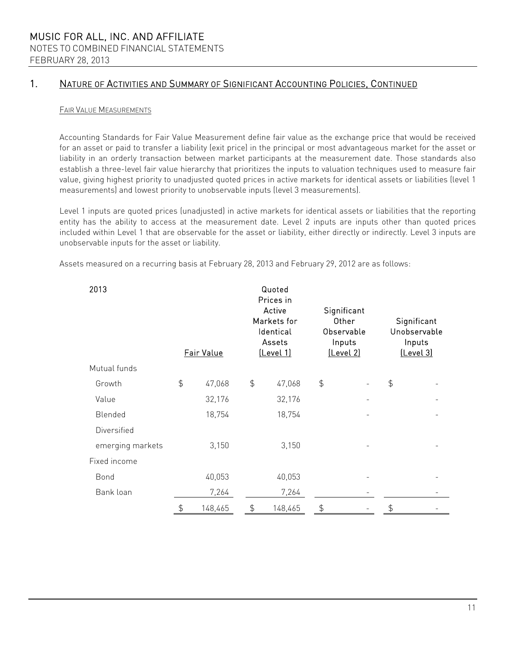#### FAIR VALUE MEASUREMENTS

Accounting Standards for Fair Value Measurement define fair value as the exchange price that would be received for an asset or paid to transfer a liability (exit price) in the principal or most advantageous market for the asset or liability in an orderly transaction between market participants at the measurement date. Those standards also establish a three-level fair value hierarchy that prioritizes the inputs to valuation techniques used to measure fair value, giving highest priority to unadjusted quoted prices in active markets for identical assets or liabilities (level 1 measurements) and lowest priority to unobservable inputs (level 3 measurements).

Level 1 inputs are quoted prices (unadjusted) in active markets for identical assets or liabilities that the reporting entity has the ability to access at the measurement date. Level 2 inputs are inputs other than quoted prices included within Level 1 that are observable for the asset or liability, either directly or indirectly. Level 3 inputs are unobservable inputs for the asset or liability.

Assets measured on a recurring basis at February 28, 2013 and February 29, 2012 are as follows:

| 2013             | Fair Value    |         |               | Quoted<br>Prices in<br>Active<br>Markets for<br>Identical<br>Assets<br><u>(Level 1)</u> | Significant<br>Other<br>Observable<br>Inputs<br>[Level 2] |  |                  | Significant<br>Unobservable<br>Inputs<br>(Level 3) |
|------------------|---------------|---------|---------------|-----------------------------------------------------------------------------------------|-----------------------------------------------------------|--|------------------|----------------------------------------------------|
| Mutual funds     |               |         |               |                                                                                         |                                                           |  |                  |                                                    |
| Growth           | $\frac{1}{2}$ | 47,068  | $\frac{4}{5}$ | 47,068                                                                                  | $\frac{1}{2}$                                             |  | $\ddot{\varphi}$ |                                                    |
| Value            |               | 32,176  |               | 32,176                                                                                  |                                                           |  |                  |                                                    |
| Blended          |               | 18,754  |               | 18,754                                                                                  |                                                           |  |                  |                                                    |
| Diversified      |               |         |               |                                                                                         |                                                           |  |                  |                                                    |
| emerging markets |               | 3,150   |               | 3,150                                                                                   |                                                           |  |                  |                                                    |
| Fixed income     |               |         |               |                                                                                         |                                                           |  |                  |                                                    |
| Bond             |               | 40,053  |               | 40,053                                                                                  |                                                           |  |                  |                                                    |
| Bank loan        |               | 7,264   |               | 7,264                                                                                   |                                                           |  |                  |                                                    |
|                  | \$            | 148,465 | \$            | 148,465                                                                                 | \$                                                        |  | \$               |                                                    |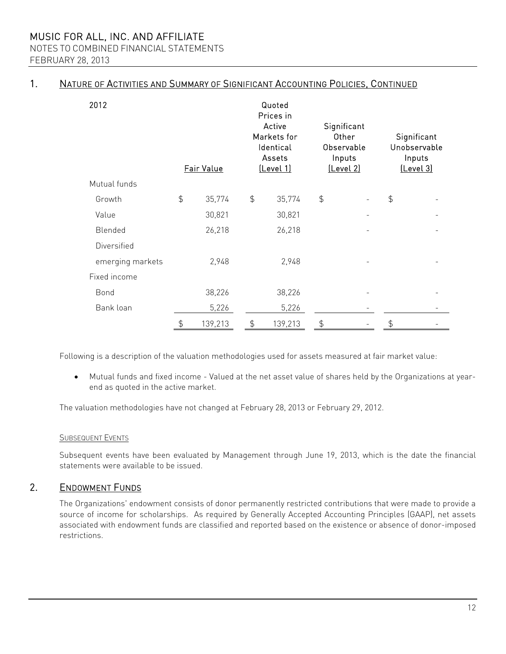NOTES TO COMBINED FINANCIAL STATEMENTS FEBRUARY 28, 2013

### 1. NATURE OF ACTIVITIES AND SUMMARY OF SIGNIFICANT ACCOUNTING POLICIES, CONTINUED

| 2012             | Fair Value    |         |               | Quoted<br>Prices in<br>Active<br>Markets for<br>Identical<br>Assets<br><u>(Level 1)</u> |               | Significant<br>Other<br>Observable<br>Inputs<br>[Level 2] |                | Significant<br>Unobservable<br>Inputs<br>[Level 3] |
|------------------|---------------|---------|---------------|-----------------------------------------------------------------------------------------|---------------|-----------------------------------------------------------|----------------|----------------------------------------------------|
| Mutual funds     |               |         |               |                                                                                         |               |                                                           |                |                                                    |
| Growth           | $\frac{1}{2}$ | 35,774  | $\frac{4}{5}$ | 35,774                                                                                  | $\frac{4}{5}$ |                                                           | \$             |                                                    |
| Value            |               | 30,821  |               | 30,821                                                                                  |               |                                                           |                |                                                    |
| Blended          |               | 26,218  |               | 26,218                                                                                  |               |                                                           |                |                                                    |
| Diversified      |               |         |               |                                                                                         |               |                                                           |                |                                                    |
| emerging markets |               | 2,948   |               | 2,948                                                                                   |               |                                                           |                |                                                    |
| Fixed income     |               |         |               |                                                                                         |               |                                                           |                |                                                    |
| <b>Bond</b>      |               | 38,226  |               | 38,226                                                                                  |               |                                                           |                |                                                    |
| Bank loan        |               | 5,226   |               | 5,226                                                                                   |               |                                                           |                |                                                    |
|                  | $\frac{4}{5}$ | 139,213 | $\frac{4}{5}$ | 139,213                                                                                 | \$            |                                                           | $\updownarrow$ |                                                    |

Following is a description of the valuation methodologies used for assets measured at fair market value:

 Mutual funds and fixed income - Valued at the net asset value of shares held by the Organizations at yearend as quoted in the active market.

The valuation methodologies have not changed at February 28, 2013 or February 29, 2012.

#### **SUBSEQUENT EVENTS**

Subsequent events have been evaluated by Management through June 19, 2013, which is the date the financial statements were available to be issued.

### 2. ENDOWMENT FUNDS

The Organizations' endowment consists of donor permanently restricted contributions that were made to provide a source of income for scholarships. As required by Generally Accepted Accounting Principles (GAAP), net assets associated with endowment funds are classified and reported based on the existence or absence of donor-imposed restrictions.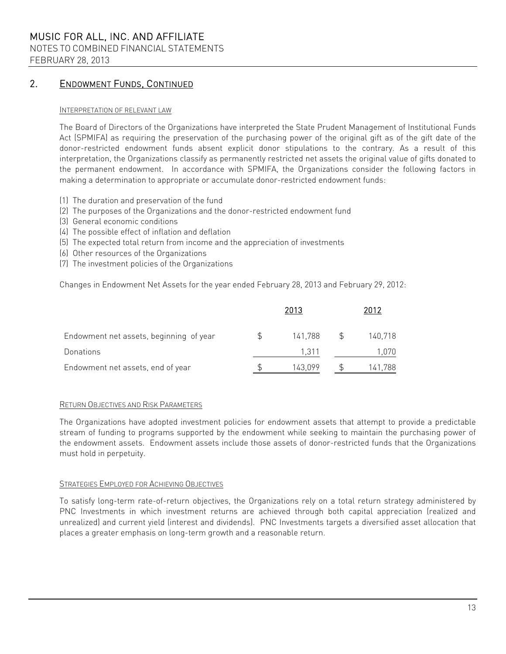NOTES TO COMBINED FINANCIAL STATEMENTS

FEBRUARY 28, 2013

### 2. ENDOWMENT FUNDS, CONTINUED

#### INTERPRETATION OF RELEVANT LAW

The Board of Directors of the Organizations have interpreted the State Prudent Management of Institutional Funds Act (SPMIFA) as requiring the preservation of the purchasing power of the original gift as of the gift date of the donor-restricted endowment funds absent explicit donor stipulations to the contrary. As a result of this interpretation, the Organizations classify as permanently restricted net assets the original value of gifts donated to the permanent endowment. In accordance with SPMIFA, the Organizations consider the following factors in making a determination to appropriate or accumulate donor-restricted endowment funds:

- (1) The duration and preservation of the fund
- (2) The purposes of the Organizations and the donor-restricted endowment fund
- (3) General economic conditions
- (4) The possible effect of inflation and deflation
- (5) The expected total return from income and the appreciation of investments
- (6) Other resources of the Organizations
- (7) The investment policies of the Organizations

Changes in Endowment Net Assets for the year ended February 28, 2013 and February 29, 2012:

|                                         | 2013    |   | 2012    |
|-----------------------------------------|---------|---|---------|
| Endowment net assets, beginning of year | 141,788 | S | 140,718 |
| Donations                               | 1.311   |   | 1.070   |
| Endowment net assets, end of year       | 143,099 |   | 141,788 |

### RETURN OBJECTIVES AND RISK PARAMETERS

The Organizations have adopted investment policies for endowment assets that attempt to provide a predictable stream of funding to programs supported by the endowment while seeking to maintain the purchasing power of the endowment assets. Endowment assets include those assets of donor-restricted funds that the Organizations must hold in perpetuity.

#### STRATEGIES EMPLOYED FOR ACHIEVING OBJECTIVES

To satisfy long-term rate-of-return objectives, the Organizations rely on a total return strategy administered by PNC Investments in which investment returns are achieved through both capital appreciation (realized and unrealized) and current yield (interest and dividends). PNC Investments targets a diversified asset allocation that places a greater emphasis on long-term growth and a reasonable return.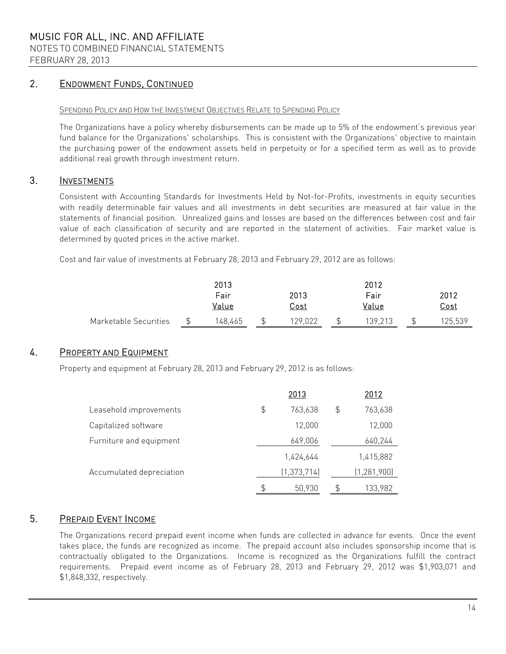### 2. ENDOWMENT FUNDS, CONTINUED

#### SPENDING POLICY AND HOW THE INVESTMENT OBJECTIVES RELATE TO SPENDING POLICY

The Organizations have a policy whereby disbursements can be made up to 5% of the endowment's previous year fund balance for the Organizations' scholarships. This is consistent with the Organizations' objective to maintain the purchasing power of the endowment assets held in perpetuity or for a specified term as well as to provide additional real growth through investment return.

### 3. INVESTMENTS

Consistent with Accounting Standards for Investments Held by Not-for-Profits, investments in equity securities with readily determinable fair values and all investments in debt securities are measured at fair value in the statements of financial position. Unrealized gains and losses are based on the differences between cost and fair value of each classification of security and are reported in the statement of activities. Fair market value is determined by quoted prices in the active market.

Cost and fair value of investments at February 28, 2013 and February 29, 2012 are as follows:

|                       |   | 2013    |  |         | 2012    |  |             |  |
|-----------------------|---|---------|--|---------|---------|--|-------------|--|
|                       |   | Fair    |  | 2013    | Fair    |  | 2012        |  |
|                       |   | Value   |  | Cost    | Value   |  | <u>Cost</u> |  |
| Marketable Securities | ፍ | 148,465 |  | 129,022 | 139.213 |  | 125,539     |  |

### 4. PROPERTY AND EQUIPMENT

Property and equipment at February 28, 2013 and February 29, 2012 is as follows:

|                          | 2013          | 2012          |
|--------------------------|---------------|---------------|
| Leasehold improvements   | \$<br>763,638 | \$<br>763,638 |
| Capitalized software     | 12,000        | 12,000        |
| Furniture and equipment  | 649,006       | 640,244       |
|                          | 1,424,644     | 1,415,882     |
| Accumulated depreciation | (1, 373, 714) | (1, 281, 900) |
|                          | \$<br>50,930  | 133,982       |

### 5. PREPAID EVENT INCOME

The Organizations record prepaid event income when funds are collected in advance for events. Once the event takes place, the funds are recognized as income. The prepaid account also includes sponsorship income that is contractually obligated to the Organizations. Income is recognized as the Organizations fulfill the contract requirements. Prepaid event income as of February 28, 2013 and February 29, 2012 was \$1,903,071 and \$1,848,332, respectively.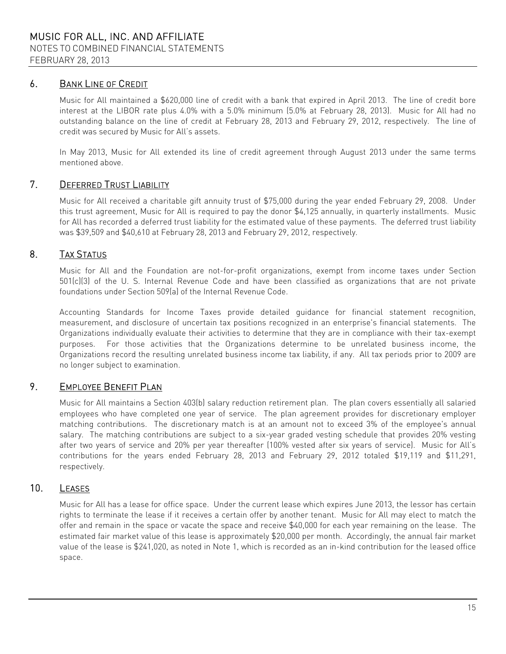### 6. BANK LINE OF CREDIT

Music for All maintained a \$620,000 line of credit with a bank that expired in April 2013. The line of credit bore interest at the LIBOR rate plus 4.0% with a 5.0% minimum (5.0% at February 28, 2013). Music for All had no outstanding balance on the line of credit at February 28, 2013 and February 29, 2012, respectively. The line of credit was secured by Music for All's assets.

In May 2013, Music for All extended its line of credit agreement through August 2013 under the same terms mentioned above.

### 7. DEFERRED TRUST LIABILITY

Music for All received a charitable gift annuity trust of \$75,000 during the year ended February 29, 2008. Under this trust agreement, Music for All is required to pay the donor \$4,125 annually, in quarterly installments. Music for All has recorded a deferred trust liability for the estimated value of these payments. The deferred trust liability was \$39,509 and \$40,610 at February 28, 2013 and February 29, 2012, respectively.

### 8. TAX STATUS

Music for All and the Foundation are not-for-profit organizations, exempt from income taxes under Section 501(c)(3) of the U. S. Internal Revenue Code and have been classified as organizations that are not private foundations under Section 509(a) of the Internal Revenue Code.

Accounting Standards for Income Taxes provide detailed guidance for financial statement recognition, measurement, and disclosure of uncertain tax positions recognized in an enterprise's financial statements. The Organizations individually evaluate their activities to determine that they are in compliance with their tax-exempt purposes. For those activities that the Organizations determine to be unrelated business income, the Organizations record the resulting unrelated business income tax liability, if any. All tax periods prior to 2009 are no longer subject to examination.

### 9. EMPLOYEE BENEFIT PLAN

Music for All maintains a Section 403(b) salary reduction retirement plan. The plan covers essentially all salaried employees who have completed one year of service. The plan agreement provides for discretionary employer matching contributions. The discretionary match is at an amount not to exceed 3% of the employee's annual salary. The matching contributions are subject to a six-year graded vesting schedule that provides 20% vesting after two years of service and 20% per year thereafter (100% vested after six years of service). Music for All's contributions for the years ended February 28, 2013 and February 29, 2012 totaled \$19,119 and \$11,291, respectively.

### 10. LEASES

Music for All has a lease for office space. Under the current lease which expires June 2013, the lessor has certain rights to terminate the lease if it receives a certain offer by another tenant. Music for All may elect to match the offer and remain in the space or vacate the space and receive \$40,000 for each year remaining on the lease. The estimated fair market value of this lease is approximately \$20,000 per month. Accordingly, the annual fair market value of the lease is \$241,020, as noted in Note 1, which is recorded as an in-kind contribution for the leased office space.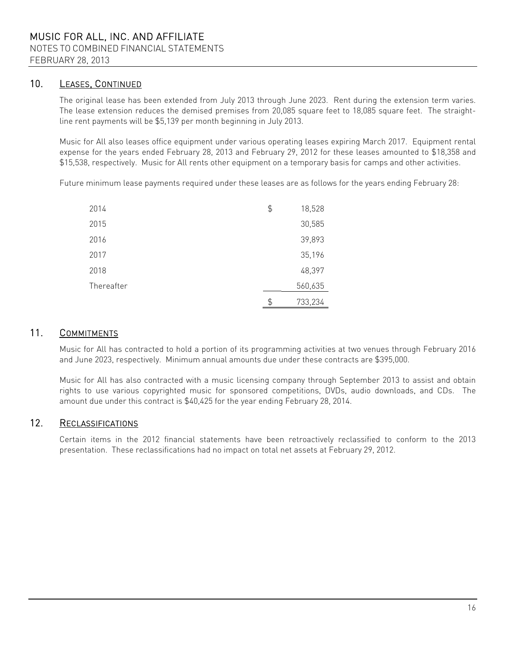### 10. LEASES, CONTINUED

The original lease has been extended from July 2013 through June 2023. Rent during the extension term varies. The lease extension reduces the demised premises from 20,085 square feet to 18,085 square feet. The straightline rent payments will be \$5,139 per month beginning in July 2013.

Music for All also leases office equipment under various operating leases expiring March 2017. Equipment rental expense for the years ended February 28, 2013 and February 29, 2012 for these leases amounted to \$18,358 and \$15,538, respectively. Music for All rents other equipment on a temporary basis for camps and other activities.

Future minimum lease payments required under these leases are as follows for the years ending February 28:

| 2014       | \$<br>18,528 |
|------------|--------------|
| 2015       | 30,585       |
| 2016       | 39,893       |
| 2017       | 35,196       |
| 2018       | 48,397       |
| Thereafter | 560,635      |
|            | 733,234      |

### 11. COMMITMENTS

Music for All has contracted to hold a portion of its programming activities at two venues through February 2016 and June 2023, respectively. Minimum annual amounts due under these contracts are \$395,000.

Music for All has also contracted with a music licensing company through September 2013 to assist and obtain rights to use various copyrighted music for sponsored competitions, DVDs, audio downloads, and CDs. The amount due under this contract is \$40,425 for the year ending February 28, 2014.

### 12. RECLASSIFICATIONS

Certain items in the 2012 financial statements have been retroactively reclassified to conform to the 2013 presentation. These reclassifications had no impact on total net assets at February 29, 2012.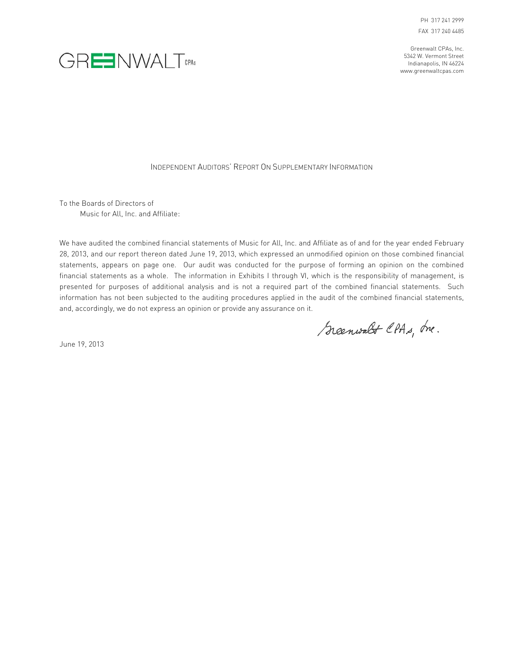Greenwalt CPAs, Inc. 5342 W. Vermont Street Indianapolis, IN 46224 www.greenwaltcpas.com



#### INDEPENDENT AUDITORS' REPORT ON SUPPLEMENTARY INFORMATION

To the Boards of Directors of Music for All, Inc. and Affiliate:

We have audited the combined financial statements of Music for All, Inc. and Affiliate as of and for the year ended February 28, 2013, and our report thereon dated June 19, 2013, which expressed an unmodified opinion on those combined financial statements, appears on page one. Our audit was conducted for the purpose of forming an opinion on the combined financial statements as a whole. The information in Exhibits I through VI, which is the responsibility of management, is presented for purposes of additional analysis and is not a required part of the combined financial statements. Such information has not been subjected to the auditing procedures applied in the audit of the combined financial statements, and, accordingly, we do not express an opinion or provide any assurance on it.

Scenwalt CPAs, Inc.

June 19, 2013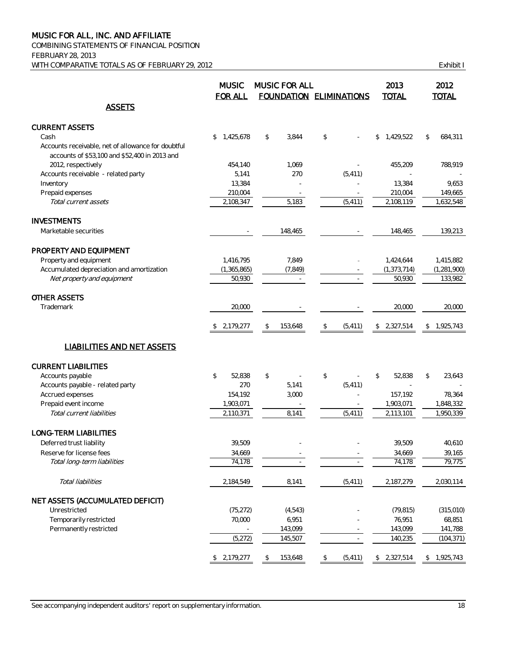COMBINING STATEMENTS OF FINANCIAL POSITION FEBRUARY 28, 2013 WITH COMPARATIVE TOTALS AS OF FEBRUARY 29, 2012 CHANGE AND THE SERIES OF STRING RESIDENCE AND LOST THE SERIES OF STRING RESIDENCE AND LOST THE SERIES OF STRING RESIDENCE AND THE SERIES OF STRING RESIDENCE AND LOST THE SERI

|                                                    | <b>MUSIC</b><br><b>FOR ALL</b> |    | MUSIC FOR ALL | <b>FOUNDATION ELIMINATIONS</b> | 2013<br><b>TOTAL</b>       | 2012<br><b>TOTAL</b> |
|----------------------------------------------------|--------------------------------|----|---------------|--------------------------------|----------------------------|----------------------|
| <b>ASSETS</b>                                      |                                |    |               |                                |                            |                      |
| <b>CURRENT ASSETS</b>                              |                                |    |               |                                |                            |                      |
| Cash                                               | \$<br>1.425.678                | \$ | 3,844         | \$                             | 1,429,522<br>\$            | \$<br>684,311        |
| Accounts receivable, net of allowance for doubtful |                                |    |               |                                |                            |                      |
| accounts of \$53,100 and \$52,400 in 2013 and      |                                |    |               |                                |                            |                      |
| 2012, respectively                                 | 454,140                        |    | 1,069         |                                | 455,209                    | 788,919              |
| Accounts receivable - related party                | 5,141                          |    | 270           | (5, 411)                       |                            |                      |
| Inventory                                          | 13,384                         |    |               |                                | 13,384                     | 9,653                |
| Prepaid expenses                                   | 210,004                        |    |               |                                | 210,004                    | 149,665              |
| Total current assets                               | 2,108,347                      |    | 5,183         | (5, 411)                       | 2,108,119                  | 1,632,548            |
| <b>INVESTMENTS</b>                                 |                                |    |               |                                |                            |                      |
| Marketable securities                              |                                |    | 148,465       |                                | 148,465                    | 139,213              |
| PROPERTY AND EQUIPMENT                             |                                |    |               |                                |                            |                      |
| Property and equipment                             | 1,416,795                      |    | 7,849         |                                | 1,424,644                  | 1,415,882            |
| Accumulated depreciation and amortization          | (1, 365, 865)                  |    | (7, 849)      |                                | (1, 373, 714)              | (1, 281, 900)        |
| Net property and equipment                         | 50,930                         |    |               |                                | 50,930                     | 133,982              |
|                                                    |                                |    |               |                                |                            |                      |
| <b>OTHER ASSETS</b>                                |                                |    |               |                                |                            |                      |
| Trademark                                          | 20,000                         |    |               |                                | 20,000                     | 20,000               |
|                                                    | \$2,179,277                    | -S | 153,648       | \$<br>(5, 411)                 | 2,327,514<br>$\mathcal{L}$ | 1,925,743<br>\$      |
| <b>LIABILITIES AND NET ASSETS</b>                  |                                |    |               |                                |                            |                      |
| <b>CURRENT LIABILITIES</b>                         |                                |    |               |                                |                            |                      |
| Accounts payable                                   | \$<br>52,838                   | \$ |               | \$<br>÷,                       | \$<br>52,838               | \$<br>23,643         |
| Accounts payable - related party                   | 270                            |    | 5,141         | (5, 411)                       |                            |                      |
| Accrued expenses                                   | 154,192                        |    | 3,000         |                                | 157,192                    | 78,364               |
| Prepaid event income                               | 1,903,071                      |    |               |                                | 1,903,071                  | 1,848,332            |
| Total current liabilities                          | 2,110,371                      |    | 8,141         | (5, 411)                       | 2,113,101                  | 1,950,339            |
|                                                    |                                |    |               |                                |                            |                      |
| LONG-TERM LIABILITIES                              |                                |    |               |                                |                            |                      |
| Deferred trust liability                           | 39,509                         |    |               |                                | 39,509                     | 40,610               |
| Reserve for license fees                           | 34,669                         |    |               |                                | 34,669                     | 39,165               |
| Total long-term liabilities                        | 74,178                         |    |               |                                | 74,178                     | 79,775               |
| Total liabilities                                  | 2,184,549                      |    | 8,141         | (5, 411)                       | 2,187,279                  | 2,030,114            |
| NET ASSETS (ACCUMULATED DEFICIT)                   |                                |    |               |                                |                            |                      |
| Unrestricted                                       | (75, 272)                      |    | (4, 543)      |                                | (79, 815)                  | (315,010)            |
| Temporarily restricted                             | 70,000                         |    | 6,951         |                                | 76,951                     | 68,851               |
| Permanently restricted                             |                                |    | 143,099       |                                | 143,099                    | 141,788              |
|                                                    | (5, 272)                       |    | 145,507       | $\equiv$                       | 140,235                    | (104, 371)           |
|                                                    | \$2,179,277                    | \$ | 153,648       | \$<br>(5, 411)                 | \$2,327,514                | \$1,925,743          |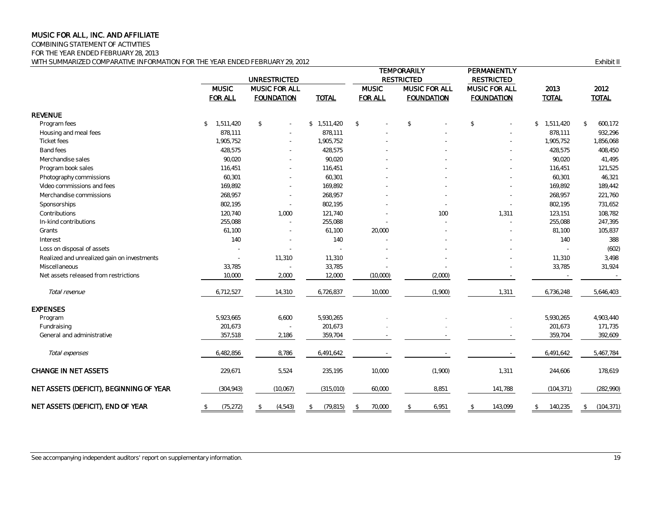COMBINING STATEMENT OF ACTIVITIES

FOR THE YEAR ENDED FEBRUARY 28, 2013

WITH SUMMARIZED COMPARATIVE INFORMATION FOR THE YEAR ENDED FEBRUARY 29, 2012 **EXHIBIT II** COMPARATIVE INFORMATION FOR THE YEAR ENDED FEBRUARY 29, 2012

|                                             |                                | <b>UNRESTRICTED</b>                |                 |                                | <b>TEMPORARILY</b><br><b>RESTRICTED</b>   | PERMANENTLY<br><b>RESTRICTED</b>   |                      |                      |  |
|---------------------------------------------|--------------------------------|------------------------------------|-----------------|--------------------------------|-------------------------------------------|------------------------------------|----------------------|----------------------|--|
|                                             | <b>MUSIC</b><br><b>FOR ALL</b> | MUSIC FOR ALL<br><b>FOUNDATION</b> | <b>TOTAL</b>    | <b>MUSIC</b><br><b>FOR ALL</b> | <b>MUSIC FOR ALL</b><br><b>FOUNDATION</b> | MUSIC FOR ALL<br><b>FOUNDATION</b> | 2013<br><b>TOTAL</b> | 2012<br><b>TOTAL</b> |  |
| <b>REVENUE</b>                              |                                |                                    |                 |                                |                                           |                                    |                      |                      |  |
| Program fees                                | 1,511,420<br>\$                | \$                                 | \$1,511,420     | $\mathcal{L}$                  | \$                                        | \$                                 | \$1,511,420          | 600,172<br>\$        |  |
| Housing and meal fees                       | 878,111                        |                                    | 878,111         |                                |                                           |                                    | 878,111              | 932,296              |  |
| <b>Ticket fees</b>                          | 1,905,752                      |                                    | 1,905,752       |                                |                                           |                                    | 1,905,752            | 1,856,068            |  |
| Band fees                                   | 428,575                        |                                    | 428,575         |                                |                                           |                                    | 428,575              | 408,450              |  |
| Merchandise sales                           | 90,020                         |                                    | 90,020          |                                |                                           |                                    | 90,020               | 41,495               |  |
| Program book sales                          | 116,451                        | $\overline{\phantom{a}}$           | 116,451         |                                |                                           |                                    | 116,451              | 121,525              |  |
| Photography commissions                     | 60,301                         |                                    | 60,301          |                                |                                           |                                    | 60,301               | 46,321               |  |
| Video commissions and fees                  | 169,892                        | $\overline{\phantom{a}}$           | 169,892         |                                |                                           |                                    | 169,892              | 189,442              |  |
| Merchandise commissions                     | 268,957                        |                                    | 268,957         |                                |                                           |                                    | 268,957              | 221,760              |  |
| Sponsorships                                | 802,195                        | ٠                                  | 802,195         |                                |                                           |                                    | 802,195              | 731,652              |  |
| Contributions                               | 120,740                        | 1,000                              | 121,740         |                                | 100                                       | 1,311                              | 123,151              | 108,782              |  |
| In-kind contributions                       | 255,088                        | $\sim$                             | 255,088         |                                |                                           |                                    | 255,088              | 247,395              |  |
| Grants                                      | 61,100                         | $\overline{\phantom{a}}$           | 61,100          | 20,000                         |                                           |                                    | 81,100               | 105,837              |  |
| Interest                                    | 140                            | $\overline{\phantom{a}}$           | 140             |                                |                                           |                                    | 140                  | 388                  |  |
| Loss on disposal of assets                  |                                |                                    | $\sim$          |                                |                                           |                                    |                      | (602)                |  |
| Realized and unrealized gain on investments |                                | 11,310                             | 11,310          |                                |                                           |                                    | 11,310               | 3,498                |  |
| Miscellaneous                               | 33,785                         |                                    | 33,785          |                                |                                           |                                    | 33,785               | 31,924               |  |
| Net assets released from restrictions       | 10,000                         | 2,000                              | 12,000          | (10,000)                       | (2,000)                                   |                                    |                      |                      |  |
| Total revenue                               | 6,712,527                      | 14,310                             | 6,726,837       | 10,000                         | (1,900)                                   | 1,311                              | 6,736,248            | 5,646,403            |  |
| <b>EXPENSES</b>                             |                                |                                    |                 |                                |                                           |                                    |                      |                      |  |
| Program                                     | 5,923,665                      | 6,600                              | 5,930,265       |                                |                                           |                                    | 5,930,265            | 4,903,440            |  |
| Fundraising                                 | 201,673                        |                                    | 201,673         |                                |                                           |                                    | 201,673              | 171,735              |  |
| General and administrative                  | 357,518                        | 2,186                              | 359,704         |                                |                                           |                                    | 359,704              | 392,609              |  |
| Total expenses                              | 6,482,856                      | 8,786                              | 6,491,642       |                                |                                           |                                    | 6,491,642            | 5,467,784            |  |
| CHANGE IN NET ASSETS                        | 229,671                        | 5,524                              | 235,195         | 10,000                         | (1,900)                                   | 1,311                              | 244,606              | 178,619              |  |
| NET ASSETS (DEFICIT), BEGINNING OF YEAR     | (304, 943)                     | (10,067)                           | (315,010)       | 60,000                         | 8,851                                     | 141,788                            | (104, 371)           | (282, 990)           |  |
| NET ASSETS (DEFICIT), END OF YEAR           | (75, 272)<br>$\mathfrak{P}$    | (4, 543)<br>\$                     | (79, 815)<br>\$ | 70,000<br>\$                   | $\mathcal{L}$<br>6,951                    | 143,099<br>$\mathbb{S}$            | 140,235<br>\$        | (104, 371)<br>\$     |  |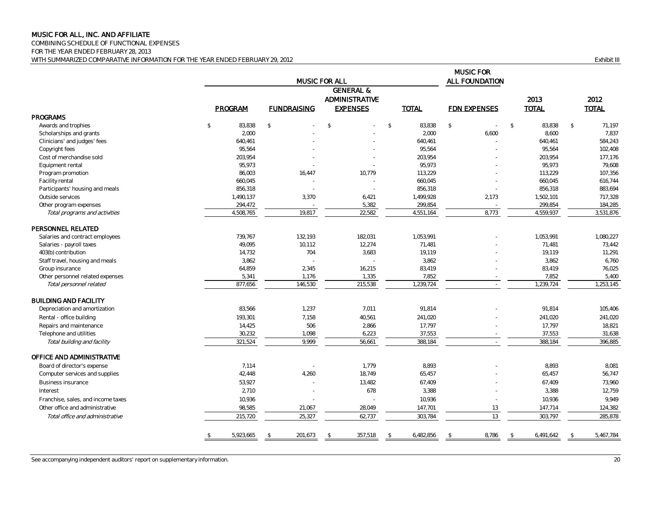COMBINING SCHEDULE OF FUNCTIONAL EXPENSES FOR THE YEAR ENDED FEBRUARY 28, 2013 WITH SUMMARIZED COMPARATIVE INFORMATION FOR THE YEAR ENDED FEBRUARY 29, 2012 **EXHIBIT III** COMPARATIVE INFORMATION FOR THE YEAR ENDED FEBRUARY 29, 2012

|                                    |                            | <b>MUSIC FOR ALL</b> | <b>MUSIC FOR</b><br>ALL FOUNDATION                               |                         |                     |                         |                            |
|------------------------------------|----------------------------|----------------------|------------------------------------------------------------------|-------------------------|---------------------|-------------------------|----------------------------|
|                                    | PROGRAM                    | <b>FUNDRAISING</b>   | <b>GENERAL &amp;</b><br><b>ADMINISTRATIVE</b><br><b>EXPENSES</b> | <b>TOTAL</b>            | <b>FDN EXPENSES</b> | 2013<br><b>TOTAL</b>    | 2012<br><b>TOTAL</b>       |
| <b>PROGRAMS</b>                    |                            |                      |                                                                  |                         |                     |                         |                            |
| Awards and trophies                | $\sqrt{2}$<br>83,838       | $\mathbb{S}$         | $\mathcal{L}$                                                    | 83,838<br>$\mathcal{L}$ | $\sqrt{2}$          | $\mathcal{L}$<br>83,838 | $\mathcal{S}$<br>71,197    |
| Scholarships and grants            | 2,000                      |                      |                                                                  | 2,000                   | 6,600               | 8,600                   | 7,837                      |
| Clinicians' and judges' fees       | 640,461                    |                      |                                                                  | 640,461                 |                     | 640.461                 | 584,243                    |
| Copyright fees                     | 95,564                     |                      |                                                                  | 95,564                  |                     | 95.564                  | 102,408                    |
| Cost of merchandise sold           | 203,954                    |                      |                                                                  | 203,954                 |                     | 203,954                 | 177,176                    |
| Equipment rental                   | 95,973                     |                      |                                                                  | 95,973                  |                     | 95,973                  | 79,608                     |
| Program promotion                  | 86,003                     | 16,447               | 10,779                                                           | 113,229                 |                     | 113,229                 | 107,356                    |
| Facility rental                    | 660,045                    |                      |                                                                  | 660,045                 |                     | 660,045                 | 616,744                    |
| Participants' housing and meals    | 856,318                    |                      |                                                                  | 856,318                 |                     | 856,318                 | 883,694                    |
| Outside services                   | 1,490,137                  | 3,370                | 6,421                                                            | 1,499,928               | 2,173               | 1,502,101               | 717,328                    |
| Other program expenses             | 294,472                    |                      | 5,382                                                            | 299,854                 |                     | 299,854                 | 184,285                    |
| Total programs and activities      | 4,508,765                  | 19,817               | 22,582                                                           | 4,551,164               | 8,773               | 4,559,937               | 3,531,876                  |
| PERSONNEL RELATED                  |                            |                      |                                                                  |                         |                     |                         |                            |
| Salaries and contract employees    | 739,767                    | 132.193              | 182.031                                                          | 1,053,991               |                     | 1.053.991               | 1,080,227                  |
| Salaries - payroll taxes           | 49,095                     | 10,112               | 12,274                                                           | 71,481                  |                     | 71,481                  | 73,442                     |
| 403(b) contribution                | 14,732                     | 704                  | 3,683                                                            | 19,119                  |                     | 19,119                  | 11,291                     |
| Staff travel, housing and meals    | 3.862                      |                      | $\sim$                                                           | 3.862                   |                     | 3.862                   | 6,760                      |
| Group insurance                    | 64,859                     | 2,345                | 16,215                                                           | 83,419                  |                     | 83,419                  | 76,025                     |
| Other personnel related expenses   | 5,341                      | 1,176                | 1,335                                                            | 7,852                   |                     | 7,852                   | 5,400                      |
| Total personnel related            | 877,656                    | 146,530              | 215,538                                                          | 1,239,724               |                     | 1,239,724               | 1,253,145                  |
| <b>BUILDING AND FACILITY</b>       |                            |                      |                                                                  |                         |                     |                         |                            |
| Depreciation and amortization      | 83,566                     | 1,237                | 7,011                                                            | 91,814                  |                     | 91,814                  | 105,406                    |
| Rental - office building           | 193,301                    | 7,158                | 40,561                                                           | 241,020                 |                     | 241,020                 | 241,020                    |
| Repairs and maintenance            | 14,425                     | 506                  | 2,866                                                            | 17,797                  |                     | 17,797                  | 18,821                     |
| Telephone and utilities            | 30,232                     | 1,098                | 6,223                                                            | 37,553                  |                     | 37,553                  | 31,638                     |
| Total building and facility        | 321,524                    | 9,999                | 56,661                                                           | 388,184                 |                     | 388,184                 | 396,885                    |
| OFFICE AND ADMINISTRATIVE          |                            |                      |                                                                  |                         |                     |                         |                            |
| Board of director's expense        | 7,114                      |                      | 1,779                                                            | 8,893                   |                     | 8,893                   | 8,081                      |
| Computer services and supplies     | 42,448                     | 4,260                | 18,749                                                           | 65,457                  |                     | 65,457                  | 56,747                     |
| Business insurance                 | 53,927                     |                      | 13,482                                                           | 67,409                  |                     | 67,409                  | 73,960                     |
| Interest                           | 2,710                      | $\overline{a}$       | 678                                                              | 3,388                   |                     | 3,388                   | 12,759                     |
| Franchise, sales, and income taxes | 10,936                     |                      |                                                                  | 10,936                  |                     | 10,936                  | 9,949                      |
|                                    |                            |                      |                                                                  |                         |                     |                         |                            |
| Other office and administrative    | 98,585                     | 21,067               | 28,049                                                           | 147,701                 | 13                  | 147,714                 | 124,382                    |
| Total office and administrative    | 215,720                    | 25,327               | 62,737                                                           | 303,784                 | 13                  | 303,797                 | 285,878                    |
|                                    | 5,923,665<br>$\mathcal{L}$ | 201,673<br>\$        | 357,518<br>$\mathcal{S}$                                         | 6,482,856<br>\$         | 8,786<br>-\$        | 6,491,642<br>\$         | 5,467,784<br>$\mathcal{L}$ |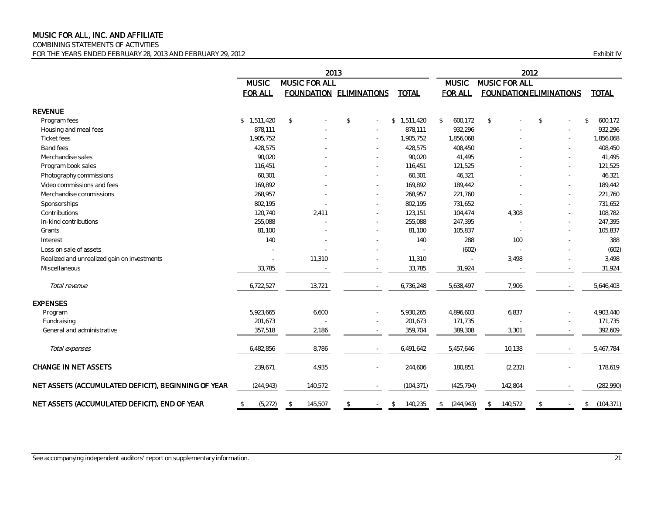COMBINING STATEMENTS OF ACTIVITIES

FOR THE YEARS ENDED FEBRUARY 28, 2013 AND FEBRUARY 29, 2012 Exhibit IV

|                                                     | 2013                       |                         |                                |                          | 2012                          |                               |                          |                             |
|-----------------------------------------------------|----------------------------|-------------------------|--------------------------------|--------------------------|-------------------------------|-------------------------------|--------------------------|-----------------------------|
|                                                     | <b>MUSIC</b>               | MUSIC FOR ALL           |                                |                          | MUSIC FOR ALL<br><b>MUSIC</b> |                               |                          |                             |
|                                                     | <b>FOR ALL</b>             |                         | <b>FOUNDATION ELIMINATIONS</b> | <b>TOTAL</b>             | <b>FOR ALL</b>                | <b>FOUNDATIONELIMINATIONS</b> |                          | <b>TOTAL</b>                |
| <b>REVENUE</b>                                      |                            |                         |                                |                          |                               |                               |                          |                             |
| Program fees                                        | \$1.511.420                | $\mathbb{S}$            | $\mathbb{S}$                   | \$1,511,420              | 600,172<br>$\mathcal{L}$      | $\mathcal{L}$                 | \$                       | 600,172<br>$\mathcal{S}$    |
| Housing and meal fees                               | 878,111                    |                         |                                | 878,111                  | 932,296                       |                               |                          | 932,296                     |
| Ticket fees                                         | 1,905,752                  |                         |                                | 1,905,752                | 1,856,068                     |                               |                          | 1,856,068                   |
| <b>Band fees</b>                                    | 428,575                    |                         |                                | 428,575                  | 408,450                       |                               |                          | 408,450                     |
| Merchandise sales                                   | 90,020                     |                         |                                | 90,020                   | 41,495                        |                               | ٠                        | 41,495                      |
| Program book sales                                  | 116,451                    |                         |                                | 116,451                  | 121,525                       |                               | ٠                        | 121,525                     |
| Photography commissions                             | 60,301                     |                         |                                | 60,301                   | 46,321                        |                               | $\overline{\phantom{0}}$ | 46,321                      |
| Video commissions and fees                          | 169,892                    |                         |                                | 169,892                  | 189,442                       |                               | $\overline{\phantom{a}}$ | 189,442                     |
| Merchandise commissions                             | 268,957                    |                         |                                | 268,957                  | 221,760                       |                               | ٠                        | 221,760                     |
| Sponsorships                                        | 802,195                    |                         |                                | 802,195                  | 731,652                       |                               |                          | 731,652                     |
| Contributions                                       | 120,740                    | 2,411                   |                                | 123,151                  | 104,474                       | 4,308                         |                          | 108,782                     |
| In-kind contributions                               | 255,088                    |                         |                                | 255,088                  | 247,395                       |                               |                          | 247,395                     |
| Grants                                              | 81,100                     |                         |                                | 81,100                   | 105,837                       |                               |                          | 105,837                     |
| Interest                                            | 140                        |                         |                                | 140                      | 288                           | 100                           |                          | 388                         |
| Loss on sale of assets                              |                            |                         |                                |                          | (602)                         |                               |                          | (602)                       |
| Realized and unrealized gain on investments         | $\overline{\phantom{a}}$   | 11,310                  |                                | 11,310                   |                               | 3,498                         |                          | 3,498                       |
| Miscellaneous                                       | 33,785                     |                         |                                | 33,785                   | 31,924                        |                               |                          | 31,924                      |
| Total revenue                                       | 6,722,527                  | 13,721                  |                                | 6,736,248                | 5,638,497                     | 7,906                         | $\sim$                   | 5,646,403                   |
| <b>EXPENSES</b>                                     |                            |                         |                                |                          |                               |                               |                          |                             |
| Program                                             | 5,923,665                  | 6,600                   |                                | 5,930,265                | 4,896,603                     | 6,837                         |                          | 4,903,440                   |
| Fundraising                                         | 201,673                    |                         |                                | 201,673                  | 171,735                       |                               |                          | 171,735                     |
| General and administrative                          | 357,518                    | 2,186                   |                                | 359,704                  | 389,308                       | 3,301                         |                          | 392,609                     |
| Total expenses                                      | 6,482,856                  | 8,786                   |                                | 6,491,642                | 5,457,646                     | 10,138                        | $\sim$                   | 5,467,784                   |
| <b>CHANGE IN NET ASSETS</b>                         | 239,671                    | 4,935                   |                                | 244,606                  | 180,851                       | (2, 232)                      | $\overline{\phantom{0}}$ | 178,619                     |
| NET ASSETS (ACCUMULATED DEFICIT), BEGINNING OF YEAR | (244, 943)                 | 140,572                 |                                | (104, 371)               | (425, 794)                    | 142,804                       |                          | (282, 990)                  |
| NET ASSETS (ACCUMULATED DEFICIT), END OF YEAR       | $$\mathbb{S}$$<br>(5, 272) | 145,507<br>$\mathbb{S}$ | $\mathfrak{P}$                 | 140,235<br>$\mathcal{L}$ | (244, 943)<br>\$              | 140,572<br>\$                 | \$                       | (104, 371)<br><sup>\$</sup> |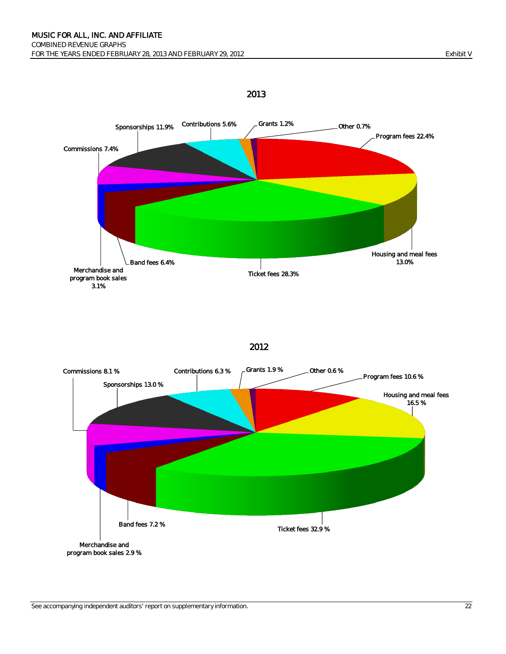

<sup>2013</sup>

2012



#### See accompanying independent auditors' report on supplementary information. 22